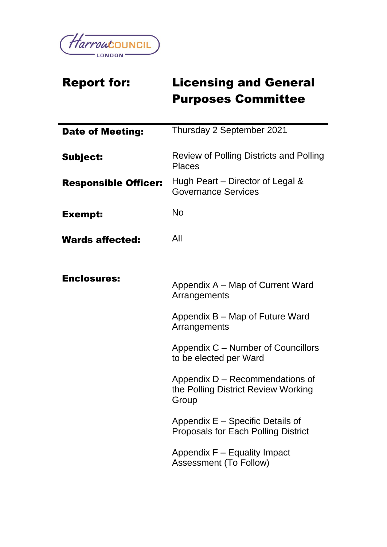

# Report for: Licensing and General Purposes Committee

| <b>Date of Meeting:</b>     | Thursday 2 September 2021                                                       |
|-----------------------------|---------------------------------------------------------------------------------|
| Subject:                    | <b>Review of Polling Districts and Polling</b><br><b>Places</b>                 |
| <b>Responsible Officer:</b> | Hugh Peart – Director of Legal &<br><b>Governance Services</b>                  |
| <b>Exempt:</b>              | <b>No</b>                                                                       |
| <b>Wards affected:</b>      | All                                                                             |
|                             |                                                                                 |
| <b>Enclosures:</b>          | Appendix A – Map of Current Ward<br>Arrangements                                |
|                             | Appendix B – Map of Future Ward<br>Arrangements                                 |
|                             | Appendix C – Number of Councillors<br>to be elected per Ward                    |
|                             | Appendix D – Recommendations of<br>the Polling District Review Working<br>Group |
|                             | Appendix E – Specific Details of<br><b>Proposals for Each Polling District</b>  |
|                             | Appendix F – Equality Impact<br><b>Assessment (To Follow)</b>                   |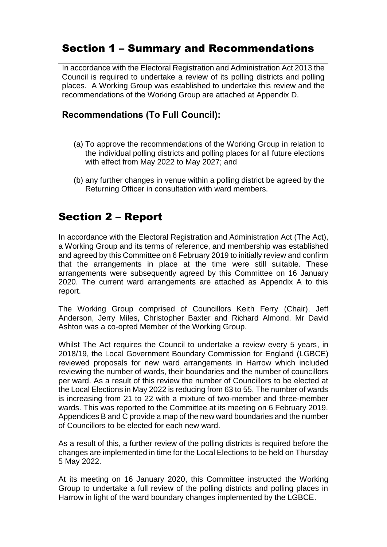### Section 1 – Summary and Recommendations

In accordance with the Electoral Registration and Administration Act 2013 the Council is required to undertake a review of its polling districts and polling places. A Working Group was established to undertake this review and the recommendations of the Working Group are attached at Appendix D.

#### **Recommendations (To Full Council):**

- (a) To approve the recommendations of the Working Group in relation to the individual polling districts and polling places for all future elections with effect from May 2022 to May 2027; and
- (b) any further changes in venue within a polling district be agreed by the Returning Officer in consultation with ward members.

# Section 2 – Report

In accordance with the Electoral Registration and Administration Act (The Act), a Working Group and its terms of reference, and membership was established and agreed by this Committee on 6 February 2019 to initially review and confirm that the arrangements in place at the time were still suitable. These arrangements were subsequently agreed by this Committee on 16 January 2020. The current ward arrangements are attached as Appendix A to this report.

The Working Group comprised of Councillors Keith Ferry (Chair), Jeff Anderson, Jerry Miles, Christopher Baxter and Richard Almond. Mr David Ashton was a co-opted Member of the Working Group.

Whilst The Act requires the Council to undertake a review every 5 years, in 2018/19, the Local Government Boundary Commission for England (LGBCE) reviewed proposals for new ward arrangements in Harrow which included reviewing the number of wards, their boundaries and the number of councillors per ward. As a result of this review the number of Councillors to be elected at the Local Elections in May 2022 is reducing from 63 to 55. The number of wards is increasing from 21 to 22 with a mixture of two-member and three-member wards. This was reported to the Committee at its meeting on 6 February 2019. Appendices B and C provide a map of the new ward boundaries and the number of Councillors to be elected for each new ward.

As a result of this, a further review of the polling districts is required before the changes are implemented in time for the Local Elections to be held on Thursday 5 May 2022.

At its meeting on 16 January 2020, this Committee instructed the Working Group to undertake a full review of the polling districts and polling places in Harrow in light of the ward boundary changes implemented by the LGBCE.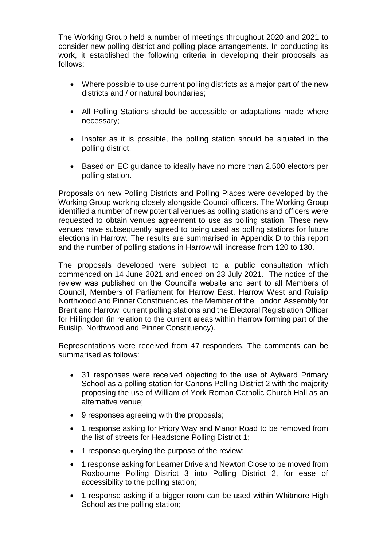The Working Group held a number of meetings throughout 2020 and 2021 to consider new polling district and polling place arrangements. In conducting its work, it established the following criteria in developing their proposals as follows:

- Where possible to use current polling districts as a major part of the new districts and / or natural boundaries;
- All Polling Stations should be accessible or adaptations made where necessary;
- Insofar as it is possible, the polling station should be situated in the polling district;
- Based on EC guidance to ideally have no more than 2,500 electors per polling station.

Proposals on new Polling Districts and Polling Places were developed by the Working Group working closely alongside Council officers. The Working Group identified a number of new potential venues as polling stations and officers were requested to obtain venues agreement to use as polling station. These new venues have subsequently agreed to being used as polling stations for future elections in Harrow. The results are summarised in Appendix D to this report and the number of polling stations in Harrow will increase from 120 to 130.

The proposals developed were subject to a public consultation which commenced on 14 June 2021 and ended on 23 July 2021. The notice of the review was published on the Council's website and sent to all Members of Council, Members of Parliament for Harrow East, Harrow West and Ruislip Northwood and Pinner Constituencies, the Member of the London Assembly for Brent and Harrow, current polling stations and the Electoral Registration Officer for Hillingdon (in relation to the current areas within Harrow forming part of the Ruislip, Northwood and Pinner Constituency).

Representations were received from 47 responders. The comments can be summarised as follows:

- 31 responses were received objecting to the use of Aylward Primary School as a polling station for Canons Polling District 2 with the majority proposing the use of William of York Roman Catholic Church Hall as an alternative venue;
- 9 responses agreeing with the proposals;
- 1 response asking for Priory Way and Manor Road to be removed from the list of streets for Headstone Polling District 1;
- 1 response querying the purpose of the review;
- 1 response asking for Learner Drive and Newton Close to be moved from Roxbourne Polling District 3 into Polling District 2, for ease of accessibility to the polling station;
- 1 response asking if a bigger room can be used within Whitmore High School as the polling station;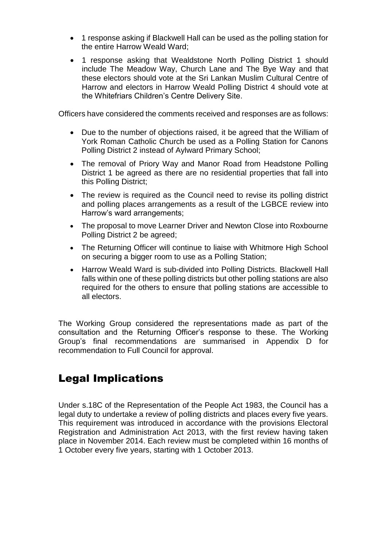- 1 response asking if Blackwell Hall can be used as the polling station for the entire Harrow Weald Ward;
- 1 response asking that Wealdstone North Polling District 1 should include The Meadow Way, Church Lane and The Bye Way and that these electors should vote at the Sri Lankan Muslim Cultural Centre of Harrow and electors in Harrow Weald Polling District 4 should vote at the Whitefriars Children's Centre Delivery Site.

Officers have considered the comments received and responses are as follows:

- Due to the number of objections raised, it be agreed that the William of York Roman Catholic Church be used as a Polling Station for Canons Polling District 2 instead of Aylward Primary School;
- The removal of Priory Way and Manor Road from Headstone Polling District 1 be agreed as there are no residential properties that fall into this Polling District;
- The review is required as the Council need to revise its polling district and polling places arrangements as a result of the LGBCE review into Harrow's ward arrangements;
- The proposal to move Learner Driver and Newton Close into Roxbourne Polling District 2 be agreed;
- The Returning Officer will continue to liaise with Whitmore High School on securing a bigger room to use as a Polling Station;
- Harrow Weald Ward is sub-divided into Polling Districts. Blackwell Hall falls within one of these polling districts but other polling stations are also required for the others to ensure that polling stations are accessible to all electors.

The Working Group considered the representations made as part of the consultation and the Returning Officer's response to these. The Working Group's final recommendations are summarised in Appendix D for recommendation to Full Council for approval.

# Legal Implications

Under s.18C of the Representation of the People Act 1983, the Council has a legal duty to undertake a review of polling districts and places every five years. This requirement was introduced in accordance with the provisions Electoral Registration and Administration Act 2013, with the first review having taken place in November 2014. Each review must be completed within 16 months of 1 October every five years, starting with 1 October 2013.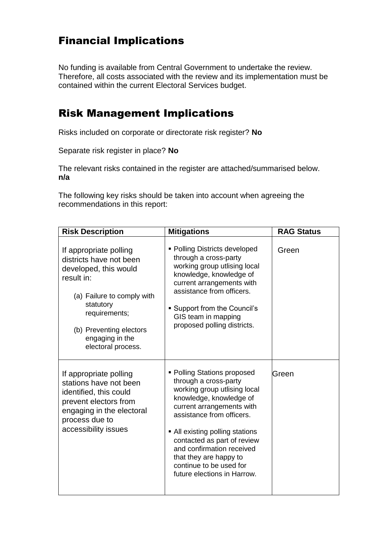# Financial Implications

No funding is available from Central Government to undertake the review. Therefore, all costs associated with the review and its implementation must be contained within the current Electoral Services budget.

# Risk Management Implications

Risks included on corporate or directorate risk register? **No**

Separate risk register in place? **No**

The relevant risks contained in the register are attached/summarised below. **n/a** 

The following key risks should be taken into account when agreeing the recommendations in this report:

| <b>Risk Description</b>                                                                                                                                                                                                  | <b>Mitigations</b>                                                                                                                                                                                                                                                                                                                                           | <b>RAG Status</b> |
|--------------------------------------------------------------------------------------------------------------------------------------------------------------------------------------------------------------------------|--------------------------------------------------------------------------------------------------------------------------------------------------------------------------------------------------------------------------------------------------------------------------------------------------------------------------------------------------------------|-------------------|
| If appropriate polling<br>districts have not been<br>developed, this would<br>result in:<br>(a) Failure to comply with<br>statutory<br>requirements;<br>(b) Preventing electors<br>engaging in the<br>electoral process. | • Polling Districts developed<br>through a cross-party<br>working group utlising local<br>knowledge, knowledge of<br>current arrangements with<br>assistance from officers.<br>• Support from the Council's<br>GIS team in mapping<br>proposed polling districts.                                                                                            | Green             |
| If appropriate polling<br>stations have not been<br>identified, this could<br>prevent electors from<br>engaging in the electoral<br>process due to<br>accessibility issues                                               | • Polling Stations proposed<br>through a cross-party<br>working group utlising local<br>knowledge, knowledge of<br>current arrangements with<br>assistance from officers.<br>• All existing polling stations<br>contacted as part of review<br>and confirmation received<br>that they are happy to<br>continue to be used for<br>future elections in Harrow. | Green             |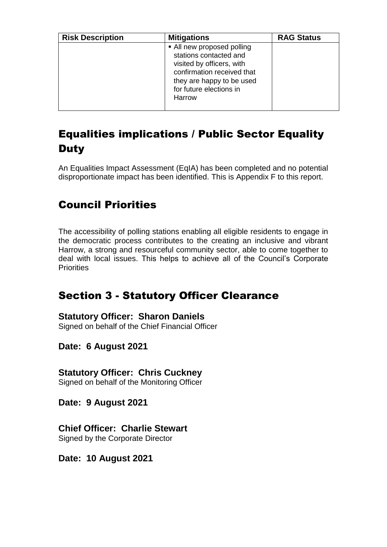| <b>Risk Description</b> | <b>Mitigations</b>                                                                                                                                                                | <b>RAG Status</b> |
|-------------------------|-----------------------------------------------------------------------------------------------------------------------------------------------------------------------------------|-------------------|
|                         | • All new proposed polling<br>stations contacted and<br>visited by officers, with<br>confirmation received that<br>they are happy to be used<br>for future elections in<br>Harrow |                   |

# Equalities implications / Public Sector Equality **Duty**

An Equalities Impact Assessment (EqIA) has been completed and no potential disproportionate impact has been identified. This is Appendix F to this report.

# Council Priorities

The accessibility of polling stations enabling all eligible residents to engage in the democratic process contributes to the creating an inclusive and vibrant Harrow, a strong and resourceful community sector, able to come together to deal with local issues. This helps to achieve all of the Council's Corporate **Priorities** 

# Section 3 - Statutory Officer Clearance

#### **Statutory Officer: Sharon Daniels**

Signed on behalf of the Chief Financial Officer

**Date: 6 August 2021**

**Statutory Officer: Chris Cuckney** Signed on behalf of the Monitoring Officer

**Date: 9 August 2021**

**Chief Officer: Charlie Stewart** Signed by the Corporate Director

**Date: 10 August 2021**